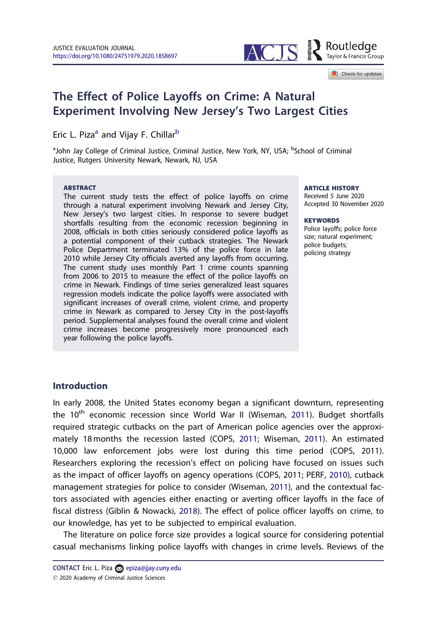

#### Check for updates

# The Effect of Police Layoffs on Crime: A Natural Experiment Involving New Jersey's Two Largest Cities

Eric L. Piza<sup>a</sup> and Vijay F. Chillar<sup>b</sup>

<sup>a</sup>John Jay College of Criminal Justice, Criminal Justice, New York, NY, USA; <sup>b</sup>School of Criminal Justice, Rutgers University Newark, Newark, NJ, USA

#### ABSTRACT

The current study tests the effect of police layoffs on crime through a natural experiment involving Newark and Jersey City, New Jersey's two largest cities. In response to severe budget shortfalls resulting from the economic recession beginning in 2008, officials in both cities seriously considered police layoffs as a potential component of their cutback strategies. The Newark Police Department terminated 13% of the police force in late 2010 while Jersey City officials averted any layoffs from occurring. The current study uses monthly Part 1 crime counts spanning from 2006 to 2015 to measure the effect of the police layoffs on crime in Newark. Findings of time series generalized least squares regression models indicate the police layoffs were associated with significant increases of overall crime, violent crime, and property crime in Newark as compared to Jersey City in the post-layoffs period. Supplemental analyses found the overall crime and violent crime increases become progressively more pronounced each year following the police layoffs.

#### **ARTICLE HISTORY**

Received 5 June 2020 Accepted 30 November 2020

#### **KEYWORDS**

Police layoffs; police force size; natural experiment; police budgets; policing strategy

## Introduction

In early 2008, the United States economy began a significant downturn, representing the 10<sup>th</sup> economic recession since World War II (Wiseman, 2011). Budget shortfalls required strategic cutbacks on the part of American police agencies over the approximately 18 months the recession lasted (COPS, 2011; Wiseman, 2011). An estimated 10,000 law enforcement jobs were lost during this time period (COPS, 2011). Researchers exploring the recession's effect on policing have focused on issues such as the impact of officer layoffs on agency operations (COPS, 2011; PERF, 2010), cutback management strategies for police to consider (Wiseman, 2011), and the contextual factors associated with agencies either enacting or averting officer layoffs in the face of fiscal distress (Giblin & Nowacki, 2018). The effect of police officer layoffs on crime, to our knowledge, has yet to be subjected to empirical evaluation.

The literature on police force size provides a logical source for considering potential casual mechanisms linking police layoffs with changes in crime levels. Reviews of the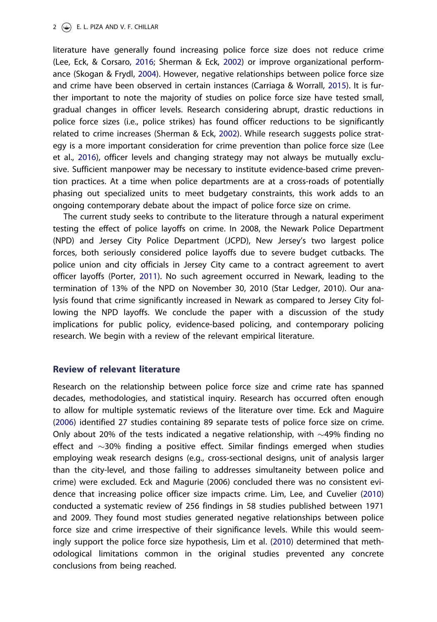literature have generally found increasing police force size does not reduce crime (Lee, Eck, & Corsaro, 2016; Sherman & Eck, 2002) or improve organizational performance (Skogan & Frydl, 2004). However, negative relationships between police force size and crime have been observed in certain instances (Carriaga & Worrall, 2015). It is further important to note the majority of studies on police force size have tested small, gradual changes in officer levels. Research considering abrupt, drastic reductions in police force sizes (i.e., police strikes) has found officer reductions to be significantly related to crime increases (Sherman & Eck, 2002). While research suggests police strategy is a more important consideration for crime prevention than police force size (Lee et al., 2016), officer levels and changing strategy may not always be mutually exclusive. Sufficient manpower may be necessary to institute evidence-based crime prevention practices. At a time when police departments are at a cross-roads of potentially phasing out specialized units to meet budgetary constraints, this work adds to an ongoing contemporary debate about the impact of police force size on crime.

The current study seeks to contribute to the literature through a natural experiment testing the effect of police layoffs on crime. In 2008, the Newark Police Department (NPD) and Jersey City Police Department (JCPD), New Jersey's two largest police forces, both seriously considered police layoffs due to severe budget cutbacks. The police union and city officials in Jersey City came to a contract agreement to avert officer layoffs (Porter, 2011). No such agreement occurred in Newark, leading to the termination of 13% of the NPD on November 30, 2010 (Star Ledger, 2010). Our analysis found that crime significantly increased in Newark as compared to Jersey City following the NPD layoffs. We conclude the paper with a discussion of the study implications for public policy, evidence-based policing, and contemporary policing research. We begin with a review of the relevant empirical literature.

## Review of relevant literature

Research on the relationship between police force size and crime rate has spanned decades, methodologies, and statistical inquiry. Research has occurred often enough to allow for multiple systematic reviews of the literature over time. Eck and Maguire (2006) identified 27 studies containing 89 separate tests of police force size on crime. Only about 20% of the tests indicated a negative relationship, with  $\sim$ 49% finding no effect and  $\sim$ 30% finding a positive effect. Similar findings emerged when studies employing weak research designs (e.g., cross-sectional designs, unit of analysis larger than the city-level, and those failing to addresses simultaneity between police and crime) were excluded. Eck and Magurie (2006) concluded there was no consistent evidence that increasing police officer size impacts crime. Lim, Lee, and Cuvelier (2010) conducted a systematic review of 256 findings in 58 studies published between 1971 and 2009. They found most studies generated negative relationships between police force size and crime irrespective of their significance levels. While this would seemingly support the police force size hypothesis, Lim et al. (2010) determined that methodological limitations common in the original studies prevented any concrete conclusions from being reached.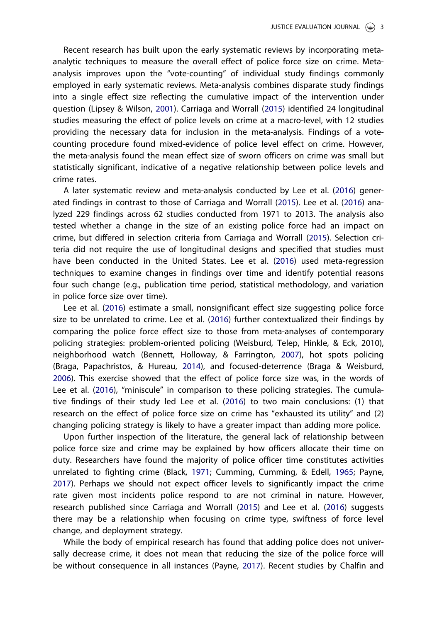Recent research has built upon the early systematic reviews by incorporating metaanalytic techniques to measure the overall effect of police force size on crime. Metaanalysis improves upon the "vote-counting" of individual study findings commonly employed in early systematic reviews. Meta-analysis combines disparate study findings into a single effect size reflecting the cumulative impact of the intervention under question (Lipsey & Wilson, 2001). Carriaga and Worrall (2015) identified 24 longitudinal studies measuring the effect of police levels on crime at a macro-level, with 12 studies providing the necessary data for inclusion in the meta-analysis. Findings of a votecounting procedure found mixed-evidence of police level effect on crime. However, the meta-analysis found the mean effect size of sworn officers on crime was small but statistically significant, indicative of a negative relationship between police levels and crime rates.

A later systematic review and meta-analysis conducted by Lee et al. (2016) generated findings in contrast to those of Carriaga and Worrall (2015). Lee et al. (2016) analyzed 229 findings across 62 studies conducted from 1971 to 2013. The analysis also tested whether a change in the size of an existing police force had an impact on crime, but differed in selection criteria from Carriaga and Worrall (2015). Selection criteria did not require the use of longitudinal designs and specified that studies must have been conducted in the United States. Lee et al. (2016) used meta-regression techniques to examine changes in findings over time and identify potential reasons four such change (e.g., publication time period, statistical methodology, and variation in police force size over time).

Lee et al. (2016) estimate a small, nonsignificant effect size suggesting police force size to be unrelated to crime. Lee et al. (2016) further contextualized their findings by comparing the police force effect size to those from meta-analyses of contemporary policing strategies: problem-oriented policing (Weisburd, Telep, Hinkle, & Eck, 2010), neighborhood watch (Bennett, Holloway, & Farrington, 2007), hot spots policing (Braga, Papachristos, & Hureau, 2014), and focused-deterrence (Braga & Weisburd, 2006). This exercise showed that the effect of police force size was, in the words of Lee et al. (2016), "miniscule" in comparison to these policing strategies. The cumulative findings of their study led Lee et al. (2016) to two main conclusions: (1) that research on the effect of police force size on crime has "exhausted its utility" and (2) changing policing strategy is likely to have a greater impact than adding more police.

Upon further inspection of the literature, the general lack of relationship between police force size and crime may be explained by how officers allocate their time on duty. Researchers have found the majority of police officer time constitutes activities unrelated to fighting crime (Black, 1971; Cumming, Cumming, & Edell, 1965; Payne, 2017). Perhaps we should not expect officer levels to significantly impact the crime rate given most incidents police respond to are not criminal in nature. However, research published since Carriaga and Worrall (2015) and Lee et al. (2016) suggests there may be a relationship when focusing on crime type, swiftness of force level change, and deployment strategy.

While the body of empirical research has found that adding police does not universally decrease crime, it does not mean that reducing the size of the police force will be without consequence in all instances (Payne, 2017). Recent studies by Chalfin and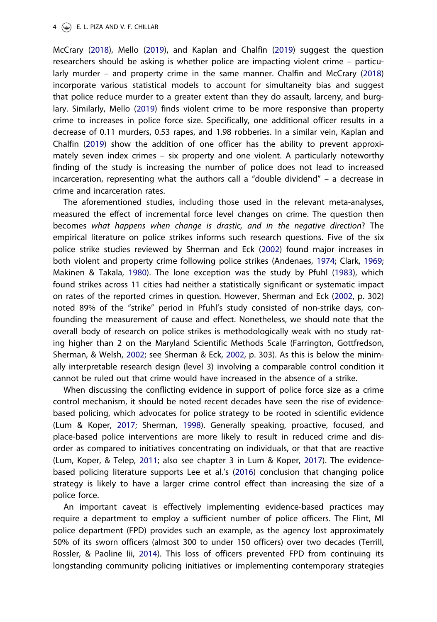McCrary (2018), Mello (2019), and Kaplan and Chalfin (2019) suggest the question researchers should be asking is whether police are impacting violent crime – particularly murder – and property crime in the same manner. Chalfin and McCrary (2018) incorporate various statistical models to account for simultaneity bias and suggest that police reduce murder to a greater extent than they do assault, larceny, and burglary. Similarly, Mello (2019) finds violent crime to be more responsive than property crime to increases in police force size. Specifically, one additional officer results in a decrease of 0.11 murders, 0.53 rapes, and 1.98 robberies. In a similar vein, Kaplan and Chalfin (2019) show the addition of one officer has the ability to prevent approximately seven index crimes – six property and one violent. A particularly noteworthy finding of the study is increasing the number of police does not lead to increased incarceration, representing what the authors call a "double dividend" – a decrease in crime and incarceration rates.

The aforementioned studies, including those used in the relevant meta-analyses, measured the effect of incremental force level changes on crime. The question then becomes *what happens when change is drastic, and in the negative direction*? The empirical literature on police strikes informs such research questions. Five of the six police strike studies reviewed by Sherman and Eck (2002) found major increases in both violent and property crime following police strikes (Andenaes, 1974; Clark, 1969; Makinen & Takala, 1980). The lone exception was the study by Pfuhl (1983), which found strikes across 11 cities had neither a statistically significant or systematic impact on rates of the reported crimes in question. However, Sherman and Eck (2002, p. 302) noted 89% of the "strike" period in Pfuhl's study consisted of non-strike days, confounding the measurement of cause and effect. Nonetheless, we should note that the overall body of research on police strikes is methodologically weak with no study rating higher than 2 on the Maryland Scientific Methods Scale (Farrington, Gottfredson, Sherman, & Welsh, 2002; see Sherman & Eck, 2002, p. 303). As this is below the minimally interpretable research design (level 3) involving a comparable control condition it cannot be ruled out that crime would have increased in the absence of a strike.

When discussing the conflicting evidence in support of police force size as a crime control mechanism, it should be noted recent decades have seen the rise of evidencebased policing, which advocates for police strategy to be rooted in scientific evidence (Lum & Koper, 2017; Sherman, 1998). Generally speaking, proactive, focused, and place-based police interventions are more likely to result in reduced crime and disorder as compared to initiatives concentrating on individuals, or that that are reactive (Lum, Koper, & Telep, 2011; also see chapter 3 in Lum & Koper, 2017). The evidencebased policing literature supports Lee et al.'s (2016) conclusion that changing police strategy is likely to have a larger crime control effect than increasing the size of a police force.

An important caveat is effectively implementing evidence-based practices may require a department to employ a sufficient number of police officers. The Flint, MI police department (FPD) provides such an example, as the agency lost approximately 50% of its sworn officers (almost 300 to under 150 officers) over two decades (Terrill, Rossler, & Paoline Iii, 2014). This loss of officers prevented FPD from continuing its longstanding community policing initiatives or implementing contemporary strategies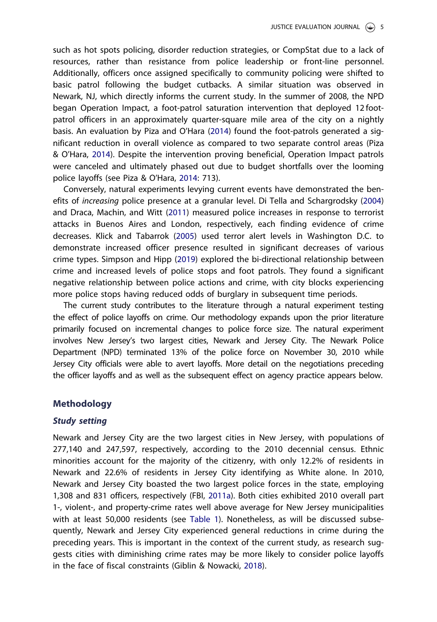such as hot spots policing, disorder reduction strategies, or CompStat due to a lack of resources, rather than resistance from police leadership or front-line personnel. Additionally, officers once assigned specifically to community policing were shifted to basic patrol following the budget cutbacks. A similar situation was observed in Newark, NJ, which directly informs the current study. In the summer of 2008, the NPD began Operation Impact, a foot-patrol saturation intervention that deployed 12 footpatrol officers in an approximately quarter-square mile area of the city on a nightly basis. An evaluation by Piza and O'Hara (2014) found the foot-patrols generated a significant reduction in overall violence as compared to two separate control areas (Piza & O'Hara, 2014). Despite the intervention proving beneficial, Operation Impact patrols were canceled and ultimately phased out due to budget shortfalls over the looming police layoffs (see Piza & O'Hara, 2014: 713).

Conversely, natural experiments levying current events have demonstrated the benefits of *increasing* police presence at a granular level. Di Tella and Schargrodsky (2004) and Draca, Machin, and Witt (2011) measured police increases in response to terrorist attacks in Buenos Aires and London, respectively, each finding evidence of crime decreases. Klick and Tabarrok (2005) used terror alert levels in Washington D.C. to demonstrate increased officer presence resulted in significant decreases of various crime types. Simpson and Hipp (2019) explored the bi-directional relationship between crime and increased levels of police stops and foot patrols. They found a significant negative relationship between police actions and crime, with city blocks experiencing more police stops having reduced odds of burglary in subsequent time periods.

The current study contributes to the literature through a natural experiment testing the effect of police layoffs on crime. Our methodology expands upon the prior literature primarily focused on incremental changes to police force size. The natural experiment involves New Jersey's two largest cities, Newark and Jersey City. The Newark Police Department (NPD) terminated 13% of the police force on November 30, 2010 while Jersey City officials were able to avert layoffs. More detail on the negotiations preceding the officer layoffs and as well as the subsequent effect on agency practice appears below.

### Methodology

## Study setting

Newark and Jersey City are the two largest cities in New Jersey, with populations of 277,140 and 247,597, respectively, according to the 2010 decennial census. Ethnic minorities account for the majority of the citizenry, with only 12.2% of residents in Newark and 22.6% of residents in Jersey City identifying as White alone. In 2010, Newark and Jersey City boasted the two largest police forces in the state, employing 1,308 and 831 officers, respectively (FBI, 2011a). Both cities exhibited 2010 overall part 1-, violent-, and property-crime rates well above average for New Jersey municipalities with at least 50,000 residents (see Table 1). Nonetheless, as will be discussed subsequently, Newark and Jersey City experienced general reductions in crime during the preceding years. This is important in the context of the current study, as research suggests cities with diminishing crime rates may be more likely to consider police layoffs in the face of fiscal constraints (Giblin & Nowacki, 2018).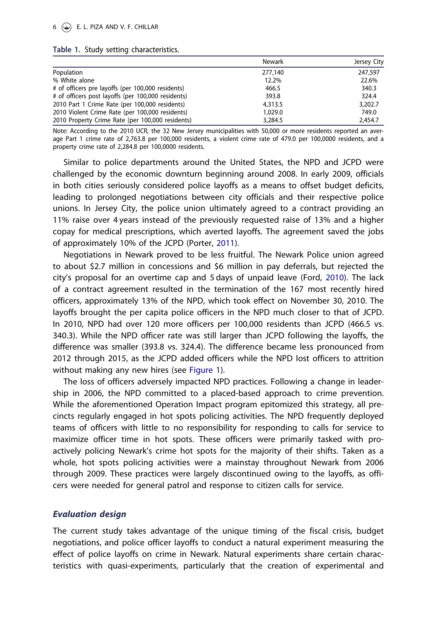#### Table 1. Study setting characteristics.

|                                                    | Newark  | Jersey City |
|----------------------------------------------------|---------|-------------|
| Population                                         | 277,140 | 247.597     |
| % White alone                                      | 12.2%   | 22.6%       |
| # of officers pre layoffs (per 100,000 residents)  | 466.5   | 340.3       |
| # of officers post layoffs (per 100,000 residents) | 393.8   | 324.4       |
| 2010 Part 1 Crime Rate (per 100,000 residents)     | 4,313.5 | 3,202.7     |
| 2010 Violent Crime Rate (per 100,000 residents)    | 1.029.0 | 749.0       |
| 2010 Property Crime Rate (per 100,000 residents)   | 3,284.5 | 2,454.7     |

Note: According to the 2010 UCR, the 32 New Jersey municipalities with 50,000 or more residents reported an average Part 1 crime rate of 2,763.8 per 100,000 residents, a violent crime rate of 479.0 per 100,0000 residents, and a property crime rate of 2,284.8 per 100,0000 residents.

Similar to police departments around the United States, the NPD and JCPD were challenged by the economic downturn beginning around 2008. In early 2009, officials in both cities seriously considered police layoffs as a means to offset budget deficits, leading to prolonged negotiations between city officials and their respective police unions. In Jersey City, the police union ultimately agreed to a contract providing an 11% raise over 4 years instead of the previously requested raise of 13% and a higher copay for medical prescriptions, which averted layoffs. The agreement saved the jobs of approximately 10% of the JCPD (Porter, 2011).

Negotiations in Newark proved to be less fruitful. The Newark Police union agreed to about \$2.7 million in concessions and \$6 million in pay deferrals, but rejected the city's proposal for an overtime cap and 5 days of unpaid leave (Ford, 2010). The lack of a contract agreement resulted in the termination of the 167 most recently hired officers, approximately 13% of the NPD, which took effect on November 30, 2010. The layoffs brought the per capita police officers in the NPD much closer to that of JCPD. In 2010, NPD had over 120 more officers per 100,000 residents than JCPD (466.5 vs. 340.3). While the NPD officer rate was still larger than JCPD following the layoffs, the difference was smaller (393.8 vs. 324.4). The difference became less pronounced from 2012 through 2015, as the JCPD added officers while the NPD lost officers to attrition without making any new hires (see Figure 1).

The loss of officers adversely impacted NPD practices. Following a change in leadership in 2006, the NPD committed to a placed-based approach to crime prevention. While the aforementioned Operation Impact program epitomized this strategy, all precincts regularly engaged in hot spots policing activities. The NPD frequently deployed teams of officers with little to no responsibility for responding to calls for service to maximize officer time in hot spots. These officers were primarily tasked with proactively policing Newark's crime hot spots for the majority of their shifts. Taken as a whole, hot spots policing activities were a mainstay throughout Newark from 2006 through 2009. These practices were largely discontinued owing to the layoffs, as officers were needed for general patrol and response to citizen calls for service.

## Evaluation design

The current study takes advantage of the unique timing of the fiscal crisis, budget negotiations, and police officer layoffs to conduct a natural experiment measuring the effect of police layoffs on crime in Newark. Natural experiments share certain characteristics with quasi-experiments, particularly that the creation of experimental and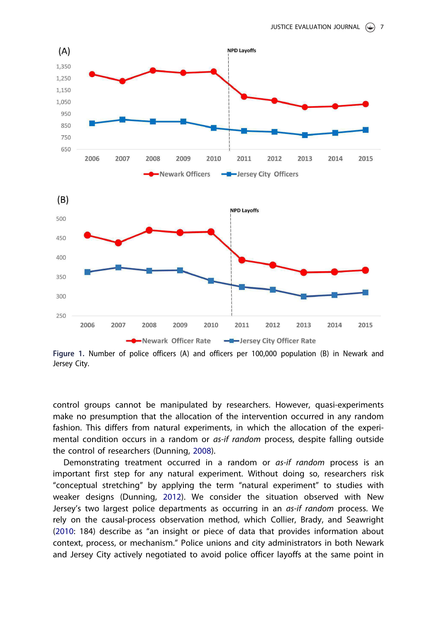

Figure 1. Number of police officers (A) and officers per 100,000 population (B) in Newark and Jersey City.

control groups cannot be manipulated by researchers. However, quasi-experiments make no presumption that the allocation of the intervention occurred in any random fashion. This differs from natural experiments, in which the allocation of the experimental condition occurs in a random or *as-if random* process, despite falling outside the control of researchers (Dunning, 2008).

Demonstrating treatment occurred in a random or *as-if random* process is an important first step for any natural experiment. Without doing so, researchers risk "conceptual stretching" by applying the term "natural experiment" to studies with weaker designs (Dunning, 2012). We consider the situation observed with New Jersey's two largest police departments as occurring in an *as-if random* process. We rely on the causal-process observation method, which Collier, Brady, and Seawright (2010: 184) describe as "an insight or piece of data that provides information about context, process, or mechanism." Police unions and city administrators in both Newark and Jersey City actively negotiated to avoid police officer layoffs at the same point in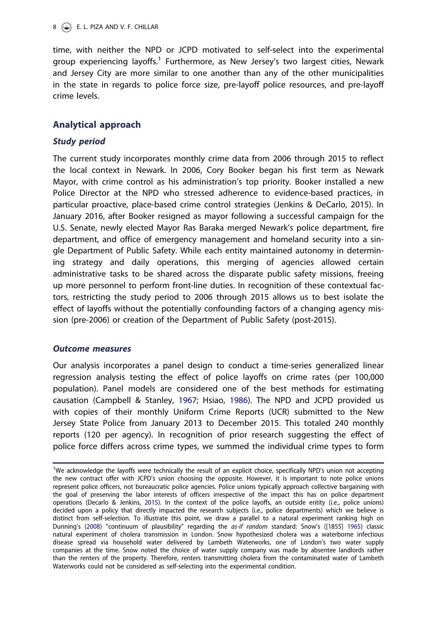time, with neither the NPD or JCPD motivated to self-select into the experimental group experiencing layoffs.<sup>1</sup> Furthermore, as New Jersey's two largest cities, Newark and Jersey City are more similar to one another than any of the other municipalities in the state in regards to police force size, pre-layoff police resources, and pre-layoff crime levels.

## Analytical approach

## Study period

The current study incorporates monthly crime data from 2006 through 2015 to reflect the local context in Newark. In 2006, Cory Booker began his first term as Newark Mayor, with crime control as his administration's top priority. Booker installed a new Police Director at the NPD who stressed adherence to evidence-based practices, in particular proactive, place-based crime control strategies (Jenkins & DeCarlo, 2015). In January 2016, after Booker resigned as mayor following a successful campaign for the U.S. Senate, newly elected Mayor Ras Baraka merged Newark's police department, fire department, and office of emergency management and homeland security into a single Department of Public Safety. While each entity maintained autonomy in determining strategy and daily operations, this merging of agencies allowed certain administrative tasks to be shared across the disparate public safety missions, freeing up more personnel to perform front-line duties. In recognition of these contextual factors, restricting the study period to 2006 through 2015 allows us to best isolate the effect of layoffs without the potentially confounding factors of a changing agency mission (pre-2006) or creation of the Department of Public Safety (post-2015).

## Outcome measures

Our analysis incorporates a panel design to conduct a time-series generalized linear regression analysis testing the effect of police layoffs on crime rates (per 100,000 population). Panel models are considered one of the best methods for estimating causation (Campbell & Stanley, 1967; Hsiao, 1986). The NPD and JCPD provided us with copies of their monthly Uniform Crime Reports (UCR) submitted to the New Jersey State Police from January 2013 to December 2015. This totaled 240 monthly reports (120 per agency). In recognition of prior research suggesting the effect of police force differs across crime types, we summed the individual crime types to form

<sup>&</sup>lt;sup>1</sup>We acknowledge the layoffs were technically the result of an explicit choice, specifically NPD's union not accepting the new contract offer with JCPD's union choosing the opposite. However, it is important to note police unions represent police officers, not bureaucratic police agencies. Police unions typically approach collective bargaining with the goal of preserving the labor interests of officers irrespective of the impact this has on police department operations (Decarlo & Jenkins, 2015). In the context of the police layoffs, an outside entity (i.e., police unions) decided upon a policy that directly impacted the research subjects (i.e., police departments) which we believe is distinct from self-selection. To illustrate this point, we draw a parallel to a natural experiment ranking high on Dunning's (2008) "continuum of plausibility" regarding the as-if random standard: Snow's ([1855] 1965) classic natural experiment of cholera transmission in London. Snow hypothesized cholera was a waterborne infectious disease spread via household water delivered by Lambeth Waterworks, one of London's two water supply companies at the time. Snow noted the choice of water supply company was made by absentee landlords rather than the renters of the property. Therefore, renters transmitting cholera from the contaminated water of Lambeth Waterworks could not be considered as self-selecting into the experimental condition.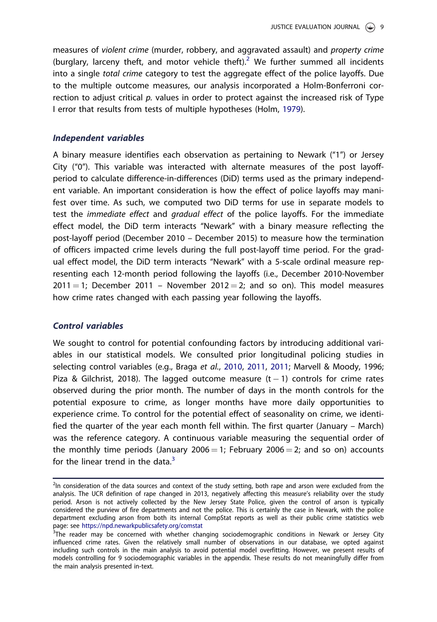measures of *violent crime* (murder, robbery, and aggravated assault) and *property crime* (burglary, larceny theft, and motor vehicle theft).<sup>2</sup> We further summed all incidents into a single *total crime* category to test the aggregate effect of the police layoffs. Due to the multiple outcome measures, our analysis incorporated a Holm-Bonferroni correction to adjust critical *p.* values in order to protect against the increased risk of Type I error that results from tests of multiple hypotheses (Holm, 1979).

## Independent variables

A binary measure identifies each observation as pertaining to Newark ("1") or Jersey City ("0"). This variable was interacted with alternate measures of the post layoffperiod to calculate difference-in-differences (DiD) terms used as the primary independent variable. An important consideration is how the effect of police layoffs may manifest over time. As such, we computed two DiD terms for use in separate models to test the *immediate effect* and *gradual effect* of the police layoffs. For the immediate effect model, the DiD term interacts "Newark" with a binary measure reflecting the post-layoff period (December 2010 – December 2015) to measure how the termination of officers impacted crime levels during the full post-layoff time period. For the gradual effect model, the DiD term interacts "Newark" with a 5-scale ordinal measure representing each 12-month period following the layoffs (i.e., December 2010-November  $2011 = 1$ ; December 2011 – November 2012 = 2; and so on). This model measures how crime rates changed with each passing year following the layoffs.

### Control variables

We sought to control for potential confounding factors by introducing additional variables in our statistical models. We consulted prior longitudinal policing studies in selecting control variables (e.g., Braga *et al.*, 2010, 2011, 2011; Marvell & Moody, 1996; Piza & Gilchrist, 2018). The lagged outcome measure  $(t - 1)$  controls for crime rates observed during the prior month. The number of days in the month controls for the potential exposure to crime, as longer months have more daily opportunities to experience crime. To control for the potential effect of seasonality on crime, we identified the quarter of the year each month fell within. The first quarter (January – March) was the reference category. A continuous variable measuring the sequential order of the monthly time periods (January 2006  $=$  1; February 2006  $=$  2; and so on) accounts for the linear trend in the data. $3$ 

<sup>&</sup>lt;sup>2</sup>In consideration of the data sources and context of the study setting, both rape and arson were excluded from the analysis. The UCR definition of rape changed in 2013, negatively affecting this measure's reliability over the study period. Arson is not actively collected by the New Jersey State Police, given the control of arson is typically considered the purview of fire departments and not the police. This is certainly the case in Newark, with the police department excluding arson from both its internal CompStat reports as well as their public crime statistics web page: see https://npd.newarkpublicsafety.org/comstat

<sup>&</sup>lt;sup>3</sup>The reader may be concerned with whether changing sociodemographic conditions in Newark or Jersey City influenced crime rates. Given the relatively small number of observations in our database, we opted against including such controls in the main analysis to avoid potential model overfitting. However, we present results of models controlling for 9 sociodemographic variables in the appendix. These results do not meaningfully differ from the main analysis presented in-text.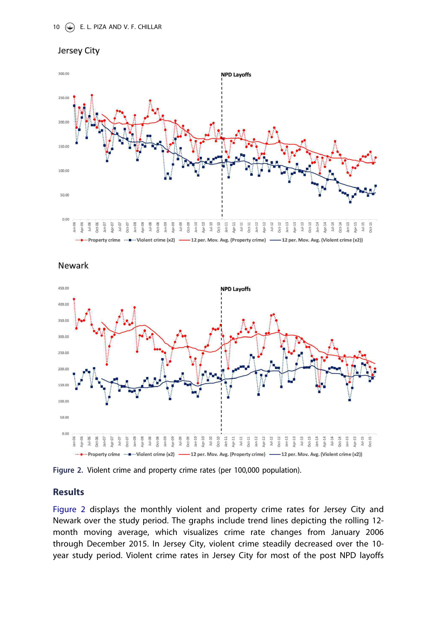



**Newark** 



Figure 2. Violent crime and property crime rates (per 100,000 population).

## Results

Figure 2 displays the monthly violent and property crime rates for Jersey City and Newark over the study period. The graphs include trend lines depicting the rolling 12 month moving average, which visualizes crime rate changes from January 2006 through December 2015. In Jersey City, violent crime steadily decreased over the 10 year study period. Violent crime rates in Jersey City for most of the post NPD layoffs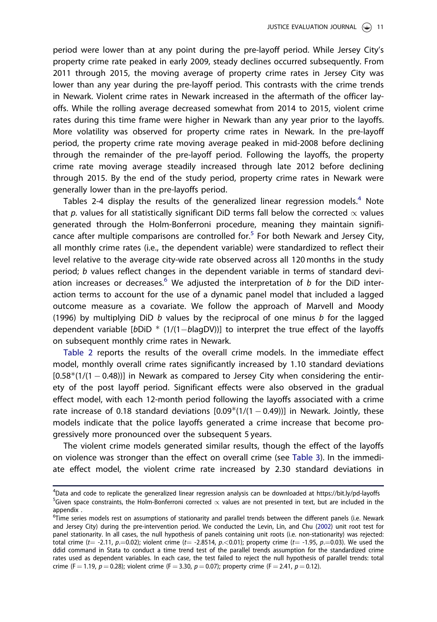period were lower than at any point during the pre-layoff period. While Jersey City's property crime rate peaked in early 2009, steady declines occurred subsequently. From 2011 through 2015, the moving average of property crime rates in Jersey City was lower than any year during the pre-layoff period. This contrasts with the crime trends in Newark. Violent crime rates in Newark increased in the aftermath of the officer layoffs. While the rolling average decreased somewhat from 2014 to 2015, violent crime rates during this time frame were higher in Newark than any year prior to the layoffs. More volatility was observed for property crime rates in Newark. In the pre-layoff period, the property crime rate moving average peaked in mid-2008 before declining through the remainder of the pre-layoff period. Following the layoffs, the property crime rate moving average steadily increased through late 2012 before declining through 2015. By the end of the study period, property crime rates in Newark were generally lower than in the pre-layoffs period.

Tables 2-4 display the results of the generalized linear regression models.<sup>4</sup> Note that  $p$ . values for all statistically significant DiD terms fall below the corrected  $\propto$  values generated through the Holm-Bonferroni procedure, meaning they maintain significance after multiple comparisons are controlled for.<sup>5</sup> For both Newark and Jersey City, all monthly crime rates (i.e., the dependent variable) were standardized to reflect their level relative to the average city-wide rate observed across all 120 months in the study period; *b* values reflect changes in the dependent variable in terms of standard deviation increases or decreases.<sup>6</sup> We adjusted the interpretation of  $b$  for the DiD interaction terms to account for the use of a dynamic panel model that included a lagged outcome measure as a covariate. We follow the approach of Marvell and Moody (1996) by multiplying DiD *b* values by the reciprocal of one minus *b* for the lagged dependent variable  $[bDID * (1/(1-b a DV))]$  to interpret the true effect of the layoffs on subsequent monthly crime rates in Newark.

Table 2 reports the results of the overall crime models. In the immediate effect model, monthly overall crime rates significantly increased by 1.10 standard deviations  $[0.58*(1/(1 – 0.48))]$  in Newark as compared to Jersey City when considering the entirety of the post layoff period. Significant effects were also observed in the gradual effect model, with each 12-month period following the layoffs associated with a crime rate increase of 0.18 standard deviations  $[0.09*(1/(1 - 0.49))]$  in Newark. Jointly, these models indicate that the police layoffs generated a crime increase that become progressively more pronounced over the subsequent 5 years.

The violent crime models generated similar results, though the effect of the layoffs on violence was stronger than the effect on overall crime (see Table 3). In the immediate effect model, the violent crime rate increased by 2.30 standard deviations in

<sup>4</sup> Data and code to replicate the generalized linear regression analysis can be downloaded at https://bit.ly/pd-layoffs  $^5$ Given space constraints, the Holm-Bonferroni corrected  $\propto$  values are not presented in text, but are included in the appendix .

<sup>&</sup>lt;sup>6</sup>Time series models rest on assumptions of stationarity and parallel trends between the different panels (i.e. Newark and Jersey City) during the pre-intervention period. We conducted the Levin, Lin, and Chu (2002) unit root test for panel stationarity. In all cases, the null hypothesis of panels containing unit roots (i.e. non-stationarity) was rejected: total crime (t= -2.11, p.=0.02); violent crime (t= -2.8514, p.<0.01); property crime (t= -1.95, p.=0.03). We used the ddid command in Stata to conduct a time trend test of the parallel trends assumption for the standardized crime rates used as dependent variables. In each case, the test failed to reject the null hypothesis of parallel trends: total crime (F = 1.19, p = 0.28); violent crime (F = 3.30, p = 0.07); property crime (F = 2.41, p = 0.12).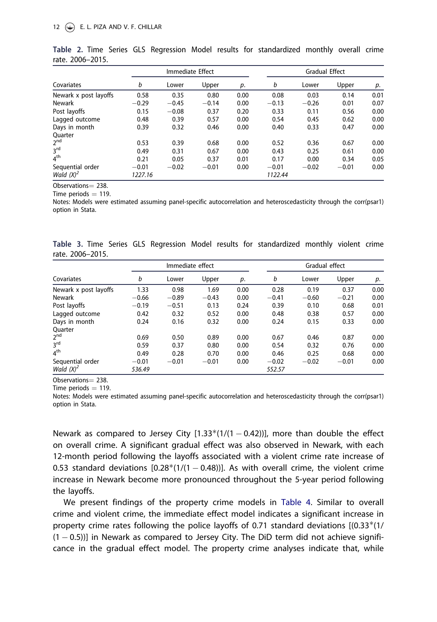|                       |         | Immediate Effect |         |      | <b>Gradual Effect</b> |         |         |      |  |
|-----------------------|---------|------------------|---------|------|-----------------------|---------|---------|------|--|
| Covariates            | b       | Lower            | Upper   | p.   | b                     | Lower   | Upper   | р.   |  |
| Newark x post layoffs | 0.58    | 0.35             | 0.80    | 0.00 | 0.08                  | 0.03    | 0.14    | 0.01 |  |
| <b>Newark</b>         | $-0.29$ | $-0.45$          | $-0.14$ | 0.00 | $-0.13$               | $-0.26$ | 0.01    | 0.07 |  |
| Post layoffs          | 0.15    | $-0.08$          | 0.37    | 0.20 | 0.33                  | 0.11    | 0.56    | 0.00 |  |
| Lagged outcome        | 0.48    | 0.39             | 0.57    | 0.00 | 0.54                  | 0.45    | 0.62    | 0.00 |  |
| Days in month         | 0.39    | 0.32             | 0.46    | 0.00 | 0.40                  | 0.33    | 0.47    | 0.00 |  |
| Ouarter               |         |                  |         |      |                       |         |         |      |  |
| $2^{nd}$              | 0.53    | 0.39             | 0.68    | 0.00 | 0.52                  | 0.36    | 0.67    | 0.00 |  |
| 3 <sup>rd</sup>       | 0.49    | 0.31             | 0.67    | 0.00 | 0.43                  | 0.25    | 0.61    | 0.00 |  |
| 4 <sup>th</sup>       | 0.21    | 0.05             | 0.37    | 0.01 | 0.17                  | 0.00    | 0.34    | 0.05 |  |
| Sequential order      | $-0.01$ | $-0.02$          | $-0.01$ | 0.00 | $-0.01$               | $-0.02$ | $-0.01$ | 0.00 |  |
| Wald $(X)^2$          | 1227.16 |                  |         |      | 1122.44               |         |         |      |  |

Table 2. Time Series GLS Regression Model results for standardized monthly overall crime rate. 2006–2015.

Observations = 238.

Time periods  $=$  119.

Notes: Models were estimated assuming panel-specific autocorrelation and heteroscedasticity through the corr(psar1) option in Stata.

Table 3. Time Series GLS Regression Model results for standardized monthly violent crime rate. 2006–2015.

| Covariates            |         | Immediate effect |         |      | Gradual effect |         |         |      |  |
|-----------------------|---------|------------------|---------|------|----------------|---------|---------|------|--|
|                       | b       | Lower            | Upper   | p.   | b              | Lower   | Upper   | р.   |  |
| Newark x post layoffs | 1.33    | 0.98             | 1.69    | 0.00 | 0.28           | 0.19    | 0.37    | 0.00 |  |
| <b>Newark</b>         | $-0.66$ | $-0.89$          | $-0.43$ | 0.00 | $-0.41$        | $-0.60$ | $-0.21$ | 0.00 |  |
| Post layoffs          | $-0.19$ | $-0.51$          | 0.13    | 0.24 | 0.39           | 0.10    | 0.68    | 0.01 |  |
| Lagged outcome        | 0.42    | 0.32             | 0.52    | 0.00 | 0.48           | 0.38    | 0.57    | 0.00 |  |
| Days in month         | 0.24    | 0.16             | 0.32    | 0.00 | 0.24           | 0.15    | 0.33    | 0.00 |  |
| Ouarter               |         |                  |         |      |                |         |         |      |  |
| 2 <sup>nd</sup>       | 0.69    | 0.50             | 0.89    | 0.00 | 0.67           | 0.46    | 0.87    | 0.00 |  |
| 3 <sup>rd</sup>       | 0.59    | 0.37             | 0.80    | 0.00 | 0.54           | 0.32    | 0.76    | 0.00 |  |
| 4 <sup>th</sup>       | 0.49    | 0.28             | 0.70    | 0.00 | 0.46           | 0.25    | 0.68    | 0.00 |  |
| Sequential order      | $-0.01$ | $-0.01$          | $-0.01$ | 0.00 | $-0.02$        | $-0.02$ | $-0.01$ | 0.00 |  |
| Wald $(X)^2$          | 536.49  |                  |         |      | 552.57         |         |         |      |  |

Observations = 238.

Time periods  $= 119$ .

Notes: Models were estimated assuming panel-specific autocorrelation and heteroscedasticity through the corr(psar1) option in Stata.

Newark as compared to Jersey City  $[1.33*(1/(1 - 0.42))]$ , more than double the effect on overall crime. A significant gradual effect was also observed in Newark, with each 12-month period following the layoffs associated with a violent crime rate increase of 0.53 standard deviations  $[0.28*(1/(1 - 0.48))]$ . As with overall crime, the violent crime increase in Newark become more pronounced throughout the 5-year period following the layoffs.

We present findings of the property crime models in Table 4. Similar to overall crime and violent crime, the immediate effect model indicates a significant increase in property crime rates following the police layoffs of 0.71 standard deviations  $[(0.33*(1/$  $(1 - 0.5)$ ] in Newark as compared to Jersey City. The DiD term did not achieve significance in the gradual effect model. The property crime analyses indicate that, while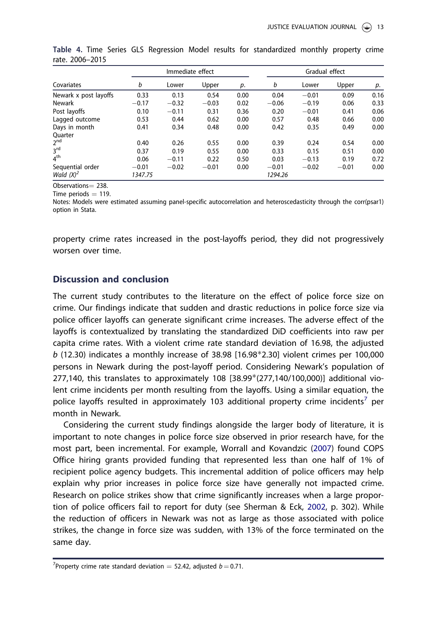| Covariates            |         | Immediate effect |         |      | Gradual effect |         |         |      |
|-----------------------|---------|------------------|---------|------|----------------|---------|---------|------|
|                       | b       | Lower            | Upper   | p.   | b              | Lower   | Upper   | p.   |
| Newark x post layoffs | 0.33    | 0.13             | 0.54    | 0.00 | 0.04           | $-0.01$ | 0.09    | 0.16 |
| <b>Newark</b>         | $-0.17$ | $-0.32$          | $-0.03$ | 0.02 | $-0.06$        | $-0.19$ | 0.06    | 0.33 |
| Post layoffs          | 0.10    | $-0.11$          | 0.31    | 0.36 | 0.20           | $-0.01$ | 0.41    | 0.06 |
| Lagged outcome        | 0.53    | 0.44             | 0.62    | 0.00 | 0.57           | 0.48    | 0.66    | 0.00 |
| Days in month         | 0.41    | 0.34             | 0.48    | 0.00 | 0.42           | 0.35    | 0.49    | 0.00 |
| Quarter               |         |                  |         |      |                |         |         |      |
| $2^{nd}$              | 0.40    | 0.26             | 0.55    | 0.00 | 0.39           | 0.24    | 0.54    | 0.00 |
| 3 <sup>rd</sup>       | 0.37    | 0.19             | 0.55    | 0.00 | 0.33           | 0.15    | 0.51    | 0.00 |
| 4 <sup>th</sup>       | 0.06    | $-0.11$          | 0.22    | 0.50 | 0.03           | $-0.13$ | 0.19    | 0.72 |
| Sequential order      | $-0.01$ | $-0.02$          | $-0.01$ | 0.00 | $-0.01$        | $-0.02$ | $-0.01$ | 0.00 |
| Wald $(X)^2$          | 1347.75 |                  |         |      | 1294.26        |         |         |      |

Table 4. Time Series GLS Regression Model results for standardized monthly property crime rate. 2006–2015

Observations = 238. Time periods  $= 119$ .

Notes: Models were estimated assuming panel-specific autocorrelation and heteroscedasticity through the corr(psar1) option in Stata.

property crime rates increased in the post-layoffs period, they did not progressively worsen over time.

## Discussion and conclusion

The current study contributes to the literature on the effect of police force size on crime. Our findings indicate that sudden and drastic reductions in police force size via police officer layoffs can generate significant crime increases. The adverse effect of the layoffs is contextualized by translating the standardized DiD coefficients into raw per capita crime rates. With a violent crime rate standard deviation of 16.98, the adjusted  *(12.30) indicates a monthly increase of 38.98 [16.98* $*$ *2.30] violent crimes per 100,000* persons in Newark during the post-layoff period. Considering Newark's population of 277,140, this translates to approximately 108  $[38.99*(277,140/100,000)]$  additional violent crime incidents per month resulting from the layoffs. Using a similar equation, the police layoffs resulted in approximately 103 additional property crime incidents<sup>7</sup> per month in Newark.

Considering the current study findings alongside the larger body of literature, it is important to note changes in police force size observed in prior research have, for the most part, been incremental. For example, Worrall and Kovandzic (2007) found COPS Office hiring grants provided funding that represented less than one half of 1% of recipient police agency budgets. This incremental addition of police officers may help explain why prior increases in police force size have generally not impacted crime. Research on police strikes show that crime significantly increases when a large proportion of police officers fail to report for duty (see Sherman & Eck, 2002, p. 302). While the reduction of officers in Newark was not as large as those associated with police strikes, the change in force size was sudden, with 13% of the force terminated on the same day.

<sup>&</sup>lt;sup>7</sup> Property crime rate standard deviation  $=$  52.42, adjusted  $b$   $=$  0.71.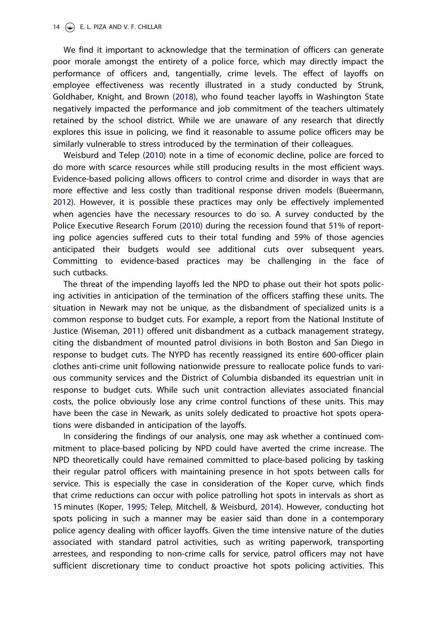We find it important to acknowledge that the termination of officers can generate poor morale amongst the entirety of a police force, which may directly impact the performance of officers and, tangentially, crime levels. The effect of layoffs on employee effectiveness was recently illustrated in a study conducted by Strunk, Goldhaber, Knight, and Brown (2018), who found teacher layoffs in Washington State negatively impacted the performance and job commitment of the teachers ultimately retained by the school district. While we are unaware of any research that directly explores this issue in policing, we find it reasonable to assume police officers may be similarly vulnerable to stress introduced by the termination of their colleagues.

Weisburd and Telep (2010) note in a time of economic decline, police are forced to do more with scarce resources while still producing results in the most efficient ways. Evidence-based policing allows officers to control crime and disorder in ways that are more effective and less costly than traditional response driven models (Bueermann, 2012). However, it is possible these practices may only be effectively implemented when agencies have the necessary resources to do so. A survey conducted by the Police Executive Research Forum (2010) during the recession found that 51% of reporting police agencies suffered cuts to their total funding and 59% of those agencies anticipated their budgets would see additional cuts over subsequent years. Committing to evidence-based practices may be challenging in the face of such cutbacks.

The threat of the impending layoffs led the NPD to phase out their hot spots policing activities in anticipation of the termination of the officers staffing these units. The situation in Newark may not be unique, as the disbandment of specialized units is a common response to budget cuts. For example, a report from the National Institute of Justice (Wiseman, 2011) offered unit disbandment as a cutback management strategy, citing the disbandment of mounted patrol divisions in both Boston and San Diego in response to budget cuts. The NYPD has recently reassigned its entire 600-officer plain clothes anti-crime unit following nationwide pressure to reallocate police funds to various community services and the District of Columbia disbanded its equestrian unit in response to budget cuts. While such unit contraction alleviates associated financial costs, the police obviously lose any crime control functions of these units. This may have been the case in Newark, as units solely dedicated to proactive hot spots operations were disbanded in anticipation of the layoffs.

In considering the findings of our analysis, one may ask whether a continued commitment to place-based policing by NPD could have averted the crime increase. The NPD theoretically could have remained committed to place-based policing by tasking their regular patrol officers with maintaining presence in hot spots between calls for service. This is especially the case in consideration of the Koper curve, which finds that crime reductions can occur with police patrolling hot spots in intervals as short as 15 minutes (Koper, 1995; Telep, Mitchell, & Weisburd, 2014). However, conducting hot spots policing in such a manner may be easier said than done in a contemporary police agency dealing with officer layoffs. Given the time intensive nature of the duties associated with standard patrol activities, such as writing paperwork, transporting arrestees, and responding to non-crime calls for service, patrol officers may not have sufficient discretionary time to conduct proactive hot spots policing activities. This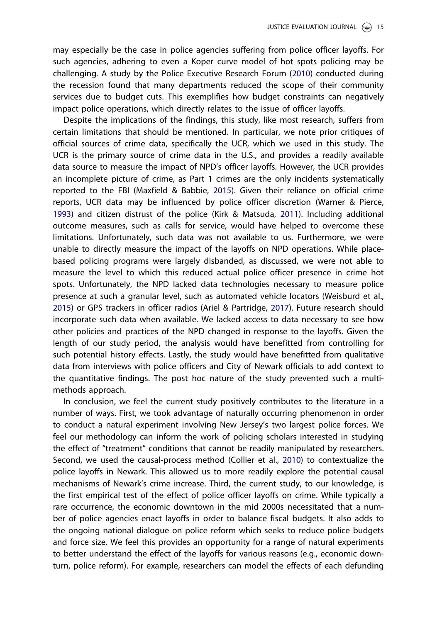may especially be the case in police agencies suffering from police officer layoffs. For such agencies, adhering to even a Koper curve model of hot spots policing may be challenging. A study by the Police Executive Research Forum (2010) conducted during the recession found that many departments reduced the scope of their community services due to budget cuts. This exemplifies how budget constraints can negatively impact police operations, which directly relates to the issue of officer layoffs.

Despite the implications of the findings, this study, like most research, suffers from certain limitations that should be mentioned. In particular, we note prior critiques of official sources of crime data, specifically the UCR, which we used in this study. The UCR is the primary source of crime data in the U.S., and provides a readily available data source to measure the impact of NPD's officer layoffs. However, the UCR provides an incomplete picture of crime, as Part 1 crimes are the only incidents systematically reported to the FBI (Maxfield & Babbie, 2015). Given their reliance on official crime reports, UCR data may be influenced by police officer discretion (Warner & Pierce, 1993) and citizen distrust of the police (Kirk & Matsuda, 2011). Including additional outcome measures, such as calls for service, would have helped to overcome these limitations. Unfortunately, such data was not available to us. Furthermore, we were unable to directly measure the impact of the layoffs on NPD operations. While placebased policing programs were largely disbanded, as discussed, we were not able to measure the level to which this reduced actual police officer presence in crime hot spots. Unfortunately, the NPD lacked data technologies necessary to measure police presence at such a granular level, such as automated vehicle locators (Weisburd et al., 2015) or GPS trackers in officer radios (Ariel & Partridge, 2017). Future research should incorporate such data when available. We lacked access to data necessary to see how other policies and practices of the NPD changed in response to the layoffs. Given the length of our study period, the analysis would have benefitted from controlling for such potential history effects. Lastly, the study would have benefitted from qualitative data from interviews with police officers and City of Newark officials to add context to the quantitative findings. The post hoc nature of the study prevented such a multimethods approach.

In conclusion, we feel the current study positively contributes to the literature in a number of ways. First, we took advantage of naturally occurring phenomenon in order to conduct a natural experiment involving New Jersey's two largest police forces. We feel our methodology can inform the work of policing scholars interested in studying the effect of "treatment" conditions that cannot be readily manipulated by researchers. Second, we used the causal-process method (Collier et al., 2010) to contextualize the police layoffs in Newark. This allowed us to more readily explore the potential causal mechanisms of Newark's crime increase. Third, the current study, to our knowledge, is the first empirical test of the effect of police officer layoffs on crime. While typically a rare occurrence, the economic downtown in the mid 2000s necessitated that a number of police agencies enact layoffs in order to balance fiscal budgets. It also adds to the ongoing national dialogue on police reform which seeks to reduce police budgets and force size. We feel this provides an opportunity for a range of natural experiments to better understand the effect of the layoffs for various reasons (e.g., economic downturn, police reform). For example, researchers can model the effects of each defunding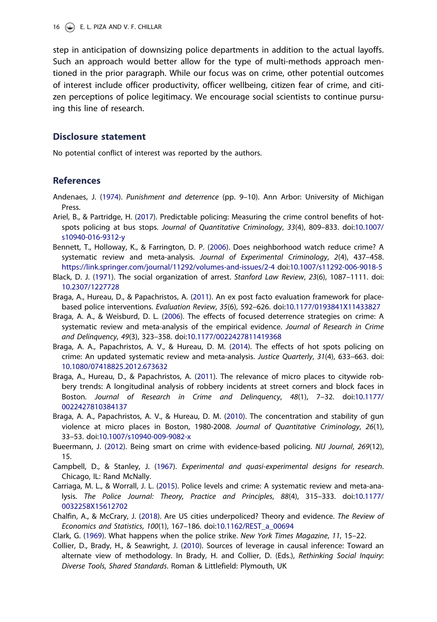step in anticipation of downsizing police departments in addition to the actual layoffs. Such an approach would better allow for the type of multi-methods approach mentioned in the prior paragraph. While our focus was on crime, other potential outcomes of interest include officer productivity, officer wellbeing, citizen fear of crime, and citizen perceptions of police legitimacy. We encourage social scientists to continue pursuing this line of research.

## Disclosure statement

No potential conflict of interest was reported by the authors.

### **References**

- Andenaes, J. (1974). *Punishment and deterrence* (pp. 9–10). Ann Arbor: University of Michigan Press.
- Ariel, B., & Partridge, H. (2017). Predictable policing: Measuring the crime control benefits of hotspots policing at bus stops. *Journal of Quantitative Criminology*, *33*(4), 809–833. doi:10.1007/ s10940-016-9312-y
- Bennett, T., Holloway, K., & Farrington, D. P. (2006). Does neighborhood watch reduce crime? A systematic review and meta-analysis. *Journal of Experimental Criminology*, *2*(4), 437–458. https://link.springer.com/journal/11292/volumes-and-issues/2-4 doi:10.1007/s11292-006-9018-5
- Black, D. J. (1971). The social organization of arrest. *Stanford Law Review*, *23*(6), 1087–1111. doi: 10.2307/1227728
- Braga, A., Hureau, D., & Papachristos, A. (2011). An ex post facto evaluation framework for placebased police interventions. *Evaluation Review*, *35*(6), 592–626. doi:10.1177/0193841X11433827
- Braga, A. A., & Weisburd, D. L. (2006). The effects of focused deterrence strategies on crime: A systematic review and meta-analysis of the empirical evidence. *Journal of Research in Crime and Delinquency*, *49*(3), 323–358. doi:10.1177/0022427811419368
- Braga, A. A., Papachristos, A. V., & Hureau, D. M. (2014). The effects of hot spots policing on crime: An updated systematic review and meta-analysis. *Justice Quarterly*, *31*(4), 633–663. doi: 10.1080/07418825.2012.673632
- Braga, A., Hureau, D., & Papachristos, A. (2011). The relevance of micro places to citywide robbery trends: A longitudinal analysis of robbery incidents at street corners and block faces in Boston. *Journal of Research in Crime and Delinquency*, *48*(1), 7–32. doi:10.1177/ 0022427810384137
- Braga, A. A., Papachristos, A. V., & Hureau, D. M. (2010). The concentration and stability of gun violence at micro places in Boston, 1980-2008. *Journal of Quantitative Criminology*, *26*(1), 33–53. doi:10.1007/s10940-009-9082-x
- Bueermann, J. (2012). Being smart on crime with evidence-based policing. *NIJ Journal*, *269*(12), 15.
- Campbell, D., & Stanley, J. (1967). *Experimental and quasi-experimental designs for research*. Chicago, IL: Rand McNally.
- Carriaga, M. L., & Worrall, J. L. (2015). Police levels and crime: A systematic review and meta-analysis. *The Police Journal: Theory, Practice and Principles*, *88*(4), 315–333. doi:10.1177/ 0032258X15612702
- Chalfin, A., & McCrary, J. (2018). Are US cities underpoliced? Theory and evidence. *The Review of Economics and Statistics*, *100*(1), 167–186. doi:10.1162/REST\_a\_00694
- Clark, G. (1969). What happens when the police strike. *New York Times Magazine*, *11*, 15–22.
- Collier, D., Brady, H., & Seawright, J. (2010). Sources of leverage in causal inference: Toward an alternate view of methodology. In Brady, H. and Collier, D. (Eds.), *Rethinking Social Inquiry*: *Diverse Tools, Shared Standards*. Roman & Littlefield: Plymouth, UK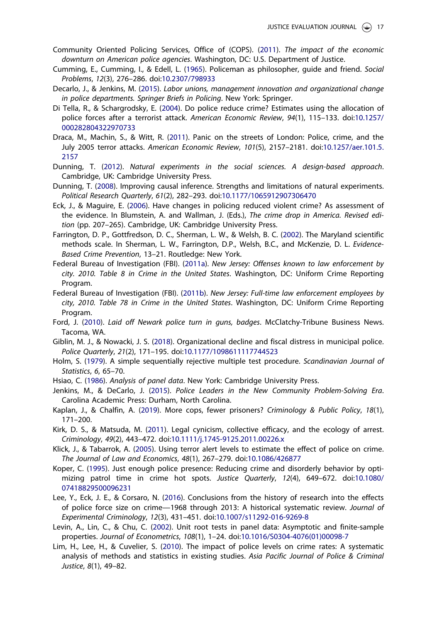- Community Oriented Policing Services, Office of (COPS). (2011). *The impact of the economic downturn on American police agencies*. Washington, DC: U.S. Department of Justice.
- Cumming, E., Cumming, I., & Edell, L. (1965). Policeman as philosopher, guide and friend. *Social Problems*, *12*(3), 276–286. doi:10.2307/798933
- Decarlo, J., & Jenkins, M. (2015). *Labor unions, management innovation and organizational change in police departments. Springer Briefs in Policing*. New York: Springer.
- Di Tella, R., & Schargrodsky, E. (2004). Do police reduce crime? Estimates using the allocation of police forces after a terrorist attack. *American Economic Review*, *94*(1), 115–133. doi:10.1257/ 000282804322970733
- Draca, M., Machin, S., & Witt, R. (2011). Panic on the streets of London: Police, crime, and the July 2005 terror attacks. *American Economic Review*, *101*(5), 2157–2181. doi:10.1257/aer.101.5. 2157
- Dunning, T. (2012). *Natural experiments in the social sciences. A design-based approach*. Cambridge, UK: Cambridge University Press.
- Dunning, T. (2008). Improving causal inference. Strengths and limitations of natural experiments. *Political Research Quarterly*, *61*(2), 282–293. doi:10.1177/1065912907306470
- Eck, J., & Maguire, E. (2006). Have changes in policing reduced violent crime? As assessment of the evidence. In Blumstein, A. and Wallman, J. (Eds.), *The crime drop in America. Revised edition* (pp. 207–265). Cambridge, UK: Cambridge University Press.
- Farrington, D. P., Gottfredson, D. C., Sherman, L. W., & Welsh, B. C. (2002). The Maryland scientific methods scale. In Sherman, L. W., Farrington, D.P., Welsh, B.C., and McKenzie, D. L. *Evidence-Based Crime Prevention*, 13–21. Routledge: New York.
- Federal Bureau of Investigation (FBI). (2011a). *New Jersey: Offenses known to law enforcement by city. 2010. Table 8 in Crime in the United States*. Washington, DC: Uniform Crime Reporting Program.
- Federal Bureau of Investigation (FBI). (2011b). *New Jersey: Full-time law enforcement employees by city, 2010. Table 78 in Crime in the United States*. Washington, DC: Uniform Crime Reporting Program.
- Ford, J. (2010). *Laid off Newark police turn in guns, badges*. McClatchy-Tribune Business News. Tacoma, WA.
- Giblin, M. J., & Nowacki, J. S. (2018). Organizational decline and fiscal distress in municipal police. *Police Quarterly*, *21*(2), 171–195. doi:10.1177/1098611117744523
- Holm, S. (1979). A simple sequentially rejective multiple test procedure. *Scandinavian Journal of Statistics*, *6*, 65–70.
- Hsiao, C. (1986). *Analysis of panel data*. New York: Cambridge University Press.
- Jenkins, M., & DeCarlo, J. (2015). *Police Leaders in the New Community Problem-Solving Era*. Carolina Academic Press: Durham, North Carolina.
- Kaplan, J., & Chalfin, A. (2019). More cops, fewer prisoners? *Criminology & Public Policy*, *18*(1), 171–200.
- Kirk, D. S., & Matsuda, M. (2011). Legal cynicism, collective efficacy, and the ecology of arrest. *Criminology*, *49*(2), 443–472. doi:10.1111/j.1745-9125.2011.00226.x
- Klick, J., & Tabarrok, A. (2005). Using terror alert levels to estimate the effect of police on crime. *The Journal of Law and Economics*, *48*(1), 267–279. doi:10.1086/426877
- Koper, C. (1995). Just enough police presence: Reducing crime and disorderly behavior by optimizing patrol time in crime hot spots. *Justice Quarterly*, *12*(4), 649–672. doi:10.1080/ 07418829500096231
- Lee, Y., Eck, J. E., & Corsaro, N. (2016). Conclusions from the history of research into the effects of police force size on crime—1968 through 2013: A historical systematic review. *Journal of Experimental Criminology*, *12*(3), 431–451. doi:10.1007/s11292-016-9269-8
- Levin, A., Lin, C., & Chu, C. (2002). Unit root tests in panel data: Asymptotic and finite-sample properties. *Journal of Econometrics*, *108*(1), 1–24. doi:10.1016/S0304-4076(01)00098-7
- Lim, H., Lee, H., & Cuvelier, S. (2010). The impact of police levels on crime rates: A systematic analysis of methods and statistics in existing studies. *Asia Pacific Journal of Police & Criminal Justice*, *8*(1), 49–82.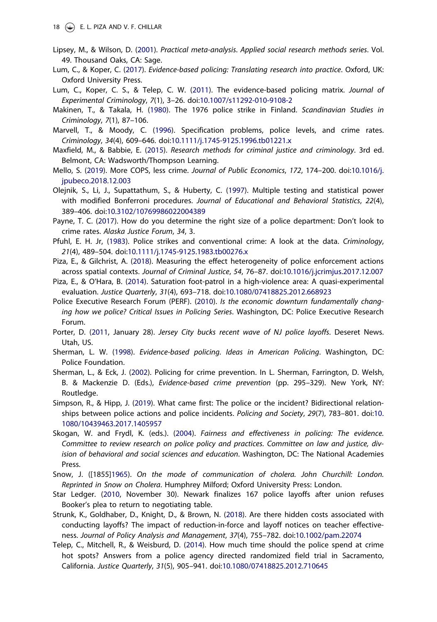- Lipsey, M., & Wilson, D. (2001). *Practical meta-analysis*. *Applied social research methods series*. Vol. 49. Thousand Oaks, CA: Sage.
- Lum, C., & Koper, C. (2017). *Evidence-based policing: Translating research into practice*. Oxford, UK: Oxford University Press.
- Lum, C., Koper, C. S., & Telep, C. W. (2011). The evidence-based policing matrix. *Journal of Experimental Criminology*, *7*(1), 3–26. doi:10.1007/s11292-010-9108-2
- Makinen, T., & Takala, H. (1980). The 1976 police strike in Finland. *Scandinavian Studies in Criminology*, *7*(1), 87–106.
- Marvell, T., & Moody, C. (1996). Specification problems, police levels, and crime rates. *Criminology*, *34*(4), 609–646. doi:10.1111/j.1745-9125.1996.tb01221.x
- Maxfield, M., & Babbie, E. (2015). *Research methods for criminal justice and criminology*. 3rd ed. Belmont, CA: Wadsworth/Thompson Learning.
- Mello, S. (2019). More COPS, less crime. *Journal of Public Economics*, *172*, 174–200. doi:10.1016/j. jpubeco.2018.12.003
- Olejnik, S., Li, J., Supattathum, S., & Huberty, C. (1997). Multiple testing and statistical power with modified Bonferroni procedures. *Journal of Educational and Behavioral Statistics*, *22*(4), 389–406. doi:10.3102/10769986022004389
- Payne, T. C. (2017). How do you determine the right size of a police department: Don't look to crime rates. *Alaska Justice Forum*, *34*, 3.
- Pfuhl, E. H. Jr, (1983). Police strikes and conventional crime: A look at the data. *Criminology*, *21*(4), 489–504. doi:10.1111/j.1745-9125.1983.tb00276.x
- Piza, E., & Gilchrist, A. (2018). Measuring the effect heterogeneity of police enforcement actions across spatial contexts. *Journal of Criminal Justice*, *54*, 76–87. doi:10.1016/j.jcrimjus.2017.12.007
- Piza, E., & O'Hara, B. (2014). Saturation foot-patrol in a high-violence area: A quasi-experimental evaluation. *Justice Quarterly*, *31*(4), 693–718. doi:10.1080/07418825.2012.668923
- Police Executive Research Forum (PERF). (2010). *Is the economic downturn fundamentally changing how we police? Critical Issues in Policing Series*. Washington, DC: Police Executive Research Forum.
- Porter, D. (2011, January 28). *Jersey City bucks recent wave of NJ police layoffs*. Deseret News. Utah, US.
- Sherman, L. W. (1998). *Evidence-based policing. Ideas in American Policing*. Washington, DC: Police Foundation.
- Sherman, L., & Eck, J. (2002). Policing for crime prevention. In L. Sherman, Farrington, D. Welsh, B. & Mackenzie D. (Eds.), *Evidence-based crime prevention* (pp. 295–329). New York, NY: Routledge.
- Simpson, R., & Hipp, J. (2019). What came first: The police or the incident? Bidirectional relationships between police actions and police incidents. *Policing and Society*, *29*(7), 783–801. doi:10. 1080/10439463.2017.1405957
- Skogan, W. and Frydl, K. (eds.). (2004). *Fairness and effectiveness in policing: The evidence. Committee to review research on police policy and practices. Committee on law and justice, division of behavioral and social sciences and education*. Washington, DC: The National Academies Press.
- Snow, J. ([1855]1965). *On the mode of communication of cholera. John Churchill: London. Reprinted in Snow on Cholera*. Humphrey Milford; Oxford University Press: London.
- Star Ledger. (2010, November 30). Newark finalizes 167 police layoffs after union refuses Booker's plea to return to negotiating table.
- Strunk, K., Goldhaber, D., Knight, D., & Brown, N. (2018). Are there hidden costs associated with conducting layoffs? The impact of reduction-in-force and layoff notices on teacher effectiveness. *Journal of Policy Analysis and Management*, *37*(4), 755–782. doi:10.1002/pam.22074
- Telep, C., Mitchell, R., & Weisburd, D. (2014). How much time should the police spend at crime hot spots? Answers from a police agency directed randomized field trial in Sacramento, California. *Justice Quarterly*, *31*(5), 905–941. doi:10.1080/07418825.2012.710645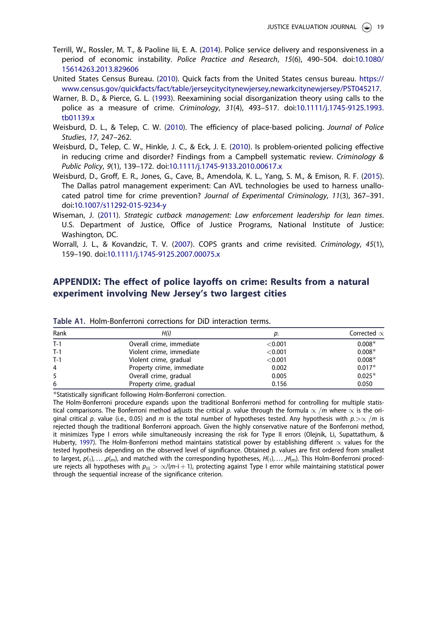- Terrill, W., Rossler, M. T., & Paoline Iii, E. A. (2014). Police service delivery and responsiveness in a period of economic instability. *Police Practice and Research*, *15*(6), 490–504. doi:10.1080/ 15614263.2013.829606
- United States Census Bureau. (2010). Quick facts from the United States census bureau. https:// www.census.gov/quickfacts/fact/table/jerseycitycitynewjersey,newarkcitynewjersey/PST045217.
- Warner, B. D., & Pierce, G. L. (1993). Reexamining social disorganization theory using calls to the police as a measure of crime. *Criminology*, *31*(4), 493–517. doi:10.1111/j.1745-9125.1993. tb01139.x
- Weisburd, D. L., & Telep, C. W. (2010). The efficiency of place-based policing. *Journal of Police Studies*, *17*, 247–262.
- Weisburd, D., Telep, C. W., Hinkle, J. C., & Eck, J. E. (2010). Is problem-oriented policing effective in reducing crime and disorder? Findings from a Campbell systematic review. *Criminology & Public Policy*, *9*(1), 139–172. doi:10.1111/j.1745-9133.2010.00617.x
- Weisburd, D., Groff, E. R., Jones, G., Cave, B., Amendola, K. L., Yang, S. M., & Emison, R. F. (2015). The Dallas patrol management experiment: Can AVL technologies be used to harness unallocated patrol time for crime prevention? *Journal of Experimental Criminology*, *11*(3), 367–391. doi:10.1007/s11292-015-9234-y
- Wiseman, J. (2011). *Strategic cutback management: Law enforcement leadership for lean times*. U.S. Department of Justice, Office of Justice Programs, National Institute of Justice: Washington, DC.
- Worrall, J. L., & Kovandzic, T. V. (2007). COPS grants and crime revisited. *Criminology*, *45*(1), 159–190. doi:10.1111/j.1745-9125.2007.00075.x

## APPENDIX: The effect of police layoffs on crime: Results from a natural experiment involving New Jersey's two largest cities

| Rank  | H(i)                      | p.      | Corrected $\propto$ |
|-------|---------------------------|---------|---------------------|
| $T-1$ | Overall crime, immediate  | < 0.001 | $0.008*$            |
| $T-1$ | Violent crime, immediate  | < 0.001 | $0.008*$            |
| $T-1$ | Violent crime, gradual    | < 0.001 | $0.008*$            |
| 4     | Property crime, immediate | 0.002   | $0.017*$            |
| 5     | Overall crime, gradual    | 0.005   | $0.025*$            |
| 6     | Property crime, gradual   | 0.156   | 0.050               |

Table A1. Holm-Bonferroni corrections for DiD interaction terms.

Statistically significant following Holm-Bonferroni correction.

The Holm-Bonferroni procedure expands upon the traditional Bonferroni method for controlling for multiple statistical comparisons. The Bonferroni method adjusts the critical p. value through the formula  $\propto/m$  where  $\propto$  is the original critical p. value (i.e., 0.05) and m is the total number of hypotheses tested. Any hypothesis with  $p.>\propto/m$  is rejected though the traditional Bonferroni approach. Given the highly conservative nature of the Bonferroni method, it minimizes Type I errors while simultaneously increasing the risk for Type II errors (Olejnik, Li, Supattathum, & Huberty, 1997). The Holm-Bonferroni method maintains statistical power by establishing different  $\propto$  values for the tested hypothesis depending on the observed level of significance. Obtained p. values are first ordered from smallest to largest,  $p_{1},...,p_{m}$ , and matched with the corresponding hypotheses,  $H_{1},...,H_{m}$ . This Holm-Bonferroni procedure rejects all hypotheses with  $p_{(i)} > \propto/(m-i+1)$ , protecting against Type I error while maintaining statistical power through the sequential increase of the significance criterion.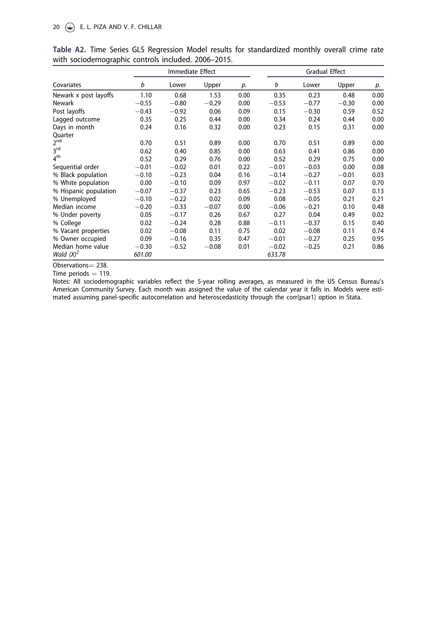|                       |         | Immediate Effect |         |      | <b>Gradual Effect</b> |         |         |      |
|-----------------------|---------|------------------|---------|------|-----------------------|---------|---------|------|
| Covariates            | b       | Lower            | Upper   | p.   | b                     | Lower   | Upper   | p.   |
| Newark x post layoffs | 1.10    | 0.68             | 1.53    | 0.00 | 0.35                  | 0.23    | 0.48    | 0.00 |
| <b>Newark</b>         | $-0.55$ | $-0.80$          | $-0.29$ | 0.00 | $-0.53$               | $-0.77$ | $-0.30$ | 0.00 |
| Post layoffs          | $-0.43$ | $-0.92$          | 0.06    | 0.09 | 0.15                  | $-0.30$ | 0.59    | 0.52 |
| Lagged outcome        | 0.35    | 0.25             | 0.44    | 0.00 | 0.34                  | 0.24    | 0.44    | 0.00 |
| Days in month         | 0.24    | 0.16             | 0.32    | 0.00 | 0.23                  | 0.15    | 0.31    | 0.00 |
| Quarter               |         |                  |         |      |                       |         |         |      |
| 2 <sup>nd</sup>       | 0.70    | 0.51             | 0.89    | 0.00 | 0.70                  | 0.51    | 0.89    | 0.00 |
| 3 <sup>rd</sup>       | 0.62    | 0.40             | 0.85    | 0.00 | 0.63                  | 0.41    | 0.86    | 0.00 |
| 4 <sup>th</sup>       | 0.52    | 0.29             | 0.76    | 0.00 | 0.52                  | 0.29    | 0.75    | 0.00 |
| Sequential order      | $-0.01$ | $-0.02$          | 0.01    | 0.22 | $-0.01$               | $-0.03$ | 0.00    | 0.08 |
| % Black population    | $-0.10$ | $-0.23$          | 0.04    | 0.16 | $-0.14$               | $-0.27$ | $-0.01$ | 0.03 |
| % White population    | 0.00    | $-0.10$          | 0.09    | 0.97 | $-0.02$               | $-0.11$ | 0.07    | 0.70 |
| % Hispanic population | $-0.07$ | $-0.37$          | 0.23    | 0.65 | $-0.23$               | $-0.53$ | 0.07    | 0.13 |
| % Unemployed          | $-0.10$ | $-0.22$          | 0.02    | 0.09 | 0.08                  | $-0.05$ | 0.21    | 0.21 |
| Median income         | $-0.20$ | $-0.33$          | $-0.07$ | 0.00 | $-0.06$               | $-0.21$ | 0.10    | 0.48 |
| % Under poverty       | 0.05    | $-0.17$          | 0.26    | 0.67 | 0.27                  | 0.04    | 0.49    | 0.02 |
| % College             | 0.02    | $-0.24$          | 0.28    | 0.88 | $-0.11$               | $-0.37$ | 0.15    | 0.40 |
| % Vacant properties   | 0.02    | $-0.08$          | 0.11    | 0.75 | 0.02                  | $-0.08$ | 0.11    | 0.74 |
| % Owner occupied      | 0.09    | $-0.16$          | 0.35    | 0.47 | $-0.01$               | $-0.27$ | 0.25    | 0.95 |
| Median home value     | $-0.30$ | $-0.52$          | $-0.08$ | 0.01 | $-0.02$               | $-0.25$ | 0.21    | 0.86 |
| Wald $(X)^2$          | 601.00  |                  |         |      | 633.78                |         |         |      |

|                                                     |  |  | Table A2. Time Series GLS Regression Model results for standardized monthly overall crime rate |  |  |
|-----------------------------------------------------|--|--|------------------------------------------------------------------------------------------------|--|--|
| with sociodemographic controls included. 2006-2015. |  |  |                                                                                                |  |  |

Observations = 238.

Time periods  $= 119$ .

Notes: All sociodemographic variables reflect the 5-year rolling averages, as measured in the US Census Bureau's American Community Survey. Each month was assigned the value of the calendar year it falls in. Models were estimated assuming panel-specific autocorrelation and heteroscedasticity through the corr(psar1) option in Stata.